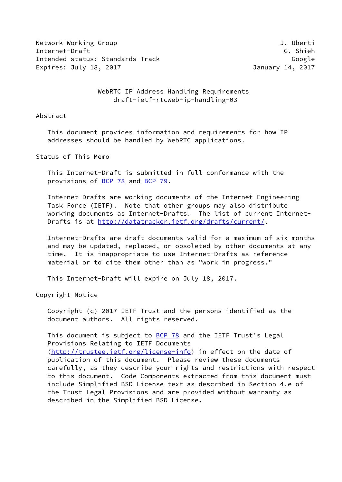Network Working Group **J. Uberti** Internet-Draft G. Shieh Intended status: Standards Track Google Google Expires: July 18, 2017 January 14, 2017

WebRTC IP Address Handling Requirements draft-ietf-rtcweb-ip-handling-03

### Abstract

 This document provides information and requirements for how IP addresses should be handled by WebRTC applications.

Status of This Memo

 This Internet-Draft is submitted in full conformance with the provisions of [BCP 78](https://datatracker.ietf.org/doc/pdf/bcp78) and [BCP 79](https://datatracker.ietf.org/doc/pdf/bcp79).

 Internet-Drafts are working documents of the Internet Engineering Task Force (IETF). Note that other groups may also distribute working documents as Internet-Drafts. The list of current Internet- Drafts is at<http://datatracker.ietf.org/drafts/current/>.

 Internet-Drafts are draft documents valid for a maximum of six months and may be updated, replaced, or obsoleted by other documents at any time. It is inappropriate to use Internet-Drafts as reference material or to cite them other than as "work in progress."

This Internet-Draft will expire on July 18, 2017.

Copyright Notice

 Copyright (c) 2017 IETF Trust and the persons identified as the document authors. All rights reserved.

This document is subject to  $BCP$  78 and the IETF Trust's Legal Provisions Relating to IETF Documents [\(http://trustee.ietf.org/license-info](http://trustee.ietf.org/license-info)) in effect on the date of publication of this document. Please review these documents carefully, as they describe your rights and restrictions with respect to this document. Code Components extracted from this document must include Simplified BSD License text as described in Section 4.e of the Trust Legal Provisions and are provided without warranty as described in the Simplified BSD License.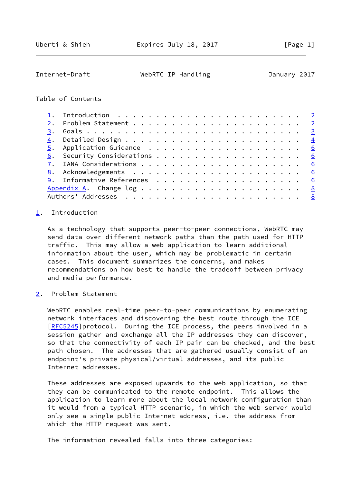# <span id="page-1-1"></span>Internet-Draft WebRTC IP Handling January 2017

## Table of Contents

## <span id="page-1-0"></span>[1](#page-1-0). Introduction

 As a technology that supports peer-to-peer connections, WebRTC may send data over different network paths than the path used for HTTP traffic. This may allow a web application to learn additional information about the user, which may be problematic in certain cases. This document summarizes the concerns, and makes recommendations on how best to handle the tradeoff between privacy and media performance.

<span id="page-1-2"></span>[2](#page-1-2). Problem Statement

 WebRTC enables real-time peer-to-peer communications by enumerating network interfaces and discovering the best route through the ICE [\[RFC5245](https://datatracker.ietf.org/doc/pdf/rfc5245)]protocol. During the ICE process, the peers involved in a session gather and exchange all the IP addresses they can discover, so that the connectivity of each IP pair can be checked, and the best path chosen. The addresses that are gathered usually consist of an endpoint's private physical/virtual addresses, and its public Internet addresses.

 These addresses are exposed upwards to the web application, so that they can be communicated to the remote endpoint. This allows the application to learn more about the local network configuration than it would from a typical HTTP scenario, in which the web server would only see a single public Internet address, i.e. the address from which the HTTP request was sent.

The information revealed falls into three categories: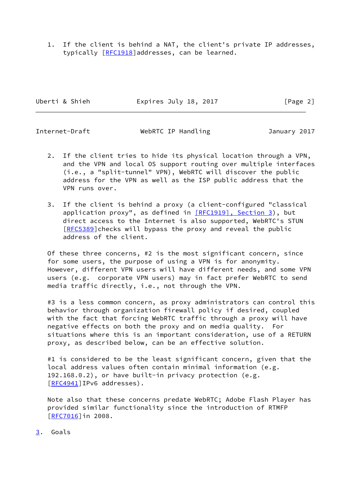1. If the client is behind a NAT, the client's private IP addresses, typically [[RFC1918](https://datatracker.ietf.org/doc/pdf/rfc1918)]addresses, can be learned.

Uberti & Shieh **Expires July 18, 2017** [Page 2]

<span id="page-2-1"></span>Internet-Draft WebRTC IP Handling and January 2017

- 2. If the client tries to hide its physical location through a VPN, and the VPN and local OS support routing over multiple interfaces (i.e., a "split-tunnel" VPN), WebRTC will discover the public address for the VPN as well as the ISP public address that the VPN runs over.
- 3. If the client is behind a proxy (a client-configured "classical application proxy", as defined in [\[RFC1919\], Section](https://datatracker.ietf.org/doc/pdf/rfc1919#section-3) 3), but direct access to the Internet is also supported, WebRTC's STUN [\[RFC5389](https://datatracker.ietf.org/doc/pdf/rfc5389)] checks will bypass the proxy and reveal the public address of the client.

 Of these three concerns, #2 is the most significant concern, since for some users, the purpose of using a VPN is for anonymity. However, different VPN users will have different needs, and some VPN users (e.g. corporate VPN users) may in fact prefer WebRTC to send media traffic directly, i.e., not through the VPN.

#3 is a less common concern, as proxy administrators can control this behavior through organization firewall policy if desired, coupled with the fact that forcing WebRTC traffic through a proxy will have negative effects on both the proxy and on media quality. For situations where this is an important consideration, use of a RETURN proxy, as described below, can be an effective solution.

#1 is considered to be the least significant concern, given that the local address values often contain minimal information (e.g. 192.168.0.2), or have built-in privacy protection (e.g. [\[RFC4941](https://datatracker.ietf.org/doc/pdf/rfc4941)]IPv6 addresses).

 Note also that these concerns predate WebRTC; Adobe Flash Player has provided similar functionality since the introduction of RTMFP [\[RFC7016](https://datatracker.ietf.org/doc/pdf/rfc7016)]in 2008.

<span id="page-2-0"></span>[3](#page-2-0). Goals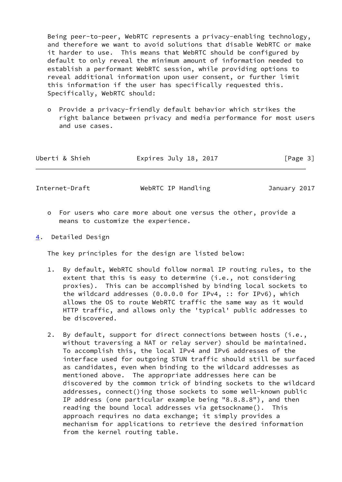Being peer-to-peer, WebRTC represents a privacy-enabling technology, and therefore we want to avoid solutions that disable WebRTC or make it harder to use. This means that WebRTC should be configured by default to only reveal the minimum amount of information needed to establish a performant WebRTC session, while providing options to reveal additional information upon user consent, or further limit this information if the user has specifically requested this. Specifically, WebRTC should:

 o Provide a privacy-friendly default behavior which strikes the right balance between privacy and media performance for most users and use cases.

| Uberti & Shieh | Expires July 18, 2017 | [Page 3] |
|----------------|-----------------------|----------|
|                |                       |          |

<span id="page-3-1"></span>Internet-Draft WebRTC IP Handling January 2017

- o For users who care more about one versus the other, provide a means to customize the experience.
- <span id="page-3-0"></span>[4](#page-3-0). Detailed Design

The key principles for the design are listed below:

- 1. By default, WebRTC should follow normal IP routing rules, to the extent that this is easy to determine (i.e., not considering proxies). This can be accomplished by binding local sockets to the wildcard addresses (0.0.0.0 for IPv4, :: for IPv6), which allows the OS to route WebRTC traffic the same way as it would HTTP traffic, and allows only the 'typical' public addresses to be discovered.
- 2. By default, support for direct connections between hosts (i.e., without traversing a NAT or relay server) should be maintained. To accomplish this, the local IPv4 and IPv6 addresses of the interface used for outgoing STUN traffic should still be surfaced as candidates, even when binding to the wildcard addresses as mentioned above. The appropriate addresses here can be discovered by the common trick of binding sockets to the wildcard addresses, connect()ing those sockets to some well-known public IP address (one particular example being "8.8.8.8"), and then reading the bound local addresses via getsockname(). This approach requires no data exchange; it simply provides a mechanism for applications to retrieve the desired information from the kernel routing table.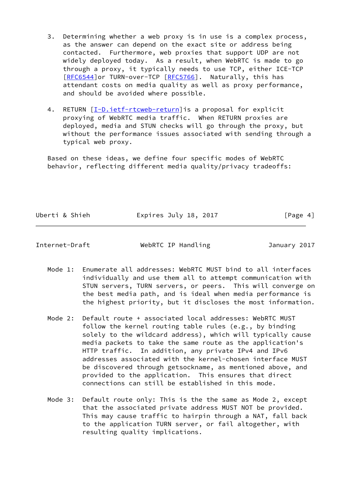- 3. Determining whether a web proxy is in use is a complex process, as the answer can depend on the exact site or address being contacted. Furthermore, web proxies that support UDP are not widely deployed today. As a result, when WebRTC is made to go through a proxy, it typically needs to use TCP, either ICE-TCP [\[RFC6544](https://datatracker.ietf.org/doc/pdf/rfc6544)]or TURN-over-TCP [[RFC5766](https://datatracker.ietf.org/doc/pdf/rfc5766)]. Naturally, this has attendant costs on media quality as well as proxy performance, and should be avoided where possible.
- 4. RETURN [[I-D.ietf-rtcweb-return](#page-6-4)] is a proposal for explicit proxying of WebRTC media traffic. When RETURN proxies are deployed, media and STUN checks will go through the proxy, but without the performance issues associated with sending through a typical web proxy.

 Based on these ideas, we define four specific modes of WebRTC behavior, reflecting different media quality/privacy tradeoffs:

Uberti & Shieh **Expires July 18, 2017** [Page 4]

Internet-Draft WebRTC IP Handling January 2017

- Mode 1: Enumerate all addresses: WebRTC MUST bind to all interfaces individually and use them all to attempt communication with STUN servers, TURN servers, or peers. This will converge on the best media path, and is ideal when media performance is the highest priority, but it discloses the most information.
- Mode 2: Default route + associated local addresses: WebRTC MUST follow the kernel routing table rules (e.g., by binding solely to the wildcard address), which will typically cause media packets to take the same route as the application's HTTP traffic. In addition, any private IPv4 and IPv6 addresses associated with the kernel-chosen interface MUST be discovered through getsockname, as mentioned above, and provided to the application. This ensures that direct connections can still be established in this mode.
- Mode 3: Default route only: This is the the same as Mode 2, except that the associated private address MUST NOT be provided. This may cause traffic to hairpin through a NAT, fall back to the application TURN server, or fail altogether, with resulting quality implications.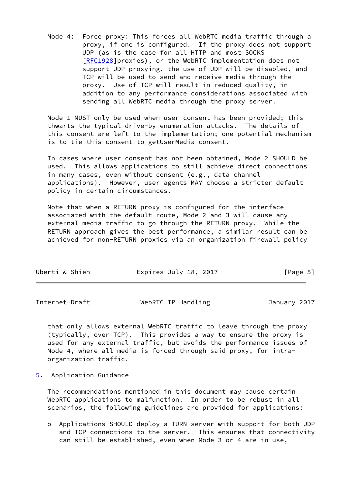Mode 4: Force proxy: This forces all WebRTC media traffic through a proxy, if one is configured. If the proxy does not support UDP (as is the case for all HTTP and most SOCKS [\[RFC1928](https://datatracker.ietf.org/doc/pdf/rfc1928)]proxies), or the WebRTC implementation does not support UDP proxying, the use of UDP will be disabled, and TCP will be used to send and receive media through the proxy. Use of TCP will result in reduced quality, in addition to any performance considerations associated with sending all WebRTC media through the proxy server.

 Mode 1 MUST only be used when user consent has been provided; this thwarts the typical drive-by enumeration attacks. The details of this consent are left to the implementation; one potential mechanism is to tie this consent to getUserMedia consent.

 In cases where user consent has not been obtained, Mode 2 SHOULD be used. This allows applications to still achieve direct connections in many cases, even without consent (e.g., data channel applications). However, user agents MAY choose a stricter default policy in certain circumstances.

 Note that when a RETURN proxy is configured for the interface associated with the default route, Mode 2 and 3 will cause any external media traffic to go through the RETURN proxy. While the RETURN approach gives the best performance, a similar result can be achieved for non-RETURN proxies via an organization firewall policy

<span id="page-5-1"></span>

| Internet-Draft | WebRTC IP Handling | January 2017 |
|----------------|--------------------|--------------|
|----------------|--------------------|--------------|

 that only allows external WebRTC traffic to leave through the proxy (typically, over TCP). This provides a way to ensure the proxy is used for any external traffic, but avoids the performance issues of Mode 4, where all media is forced through said proxy, for intra organization traffic.

<span id="page-5-0"></span>[5](#page-5-0). Application Guidance

 The recommendations mentioned in this document may cause certain WebRTC applications to malfunction. In order to be robust in all scenarios, the following guidelines are provided for applications:

 o Applications SHOULD deploy a TURN server with support for both UDP and TCP connections to the server. This ensures that connectivity can still be established, even when Mode 3 or 4 are in use,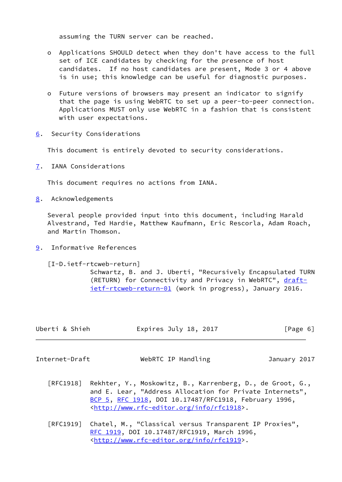assuming the TURN server can be reached.

- o Applications SHOULD detect when they don't have access to the full set of ICE candidates by checking for the presence of host candidates. If no host candidates are present, Mode 3 or 4 above is in use; this knowledge can be useful for diagnostic purposes.
- o Future versions of browsers may present an indicator to signify that the page is using WebRTC to set up a peer-to-peer connection. Applications MUST only use WebRTC in a fashion that is consistent with user expectations.
- <span id="page-6-0"></span>[6](#page-6-0). Security Considerations

This document is entirely devoted to security considerations.

<span id="page-6-1"></span>[7](#page-6-1). IANA Considerations

This document requires no actions from IANA.

<span id="page-6-2"></span>[8](#page-6-2). Acknowledgements

 Several people provided input into this document, including Harald Alvestrand, Ted Hardie, Matthew Kaufmann, Eric Rescorla, Adam Roach, and Martin Thomson.

<span id="page-6-3"></span>[9](#page-6-3). Informative References

<span id="page-6-4"></span>[I-D.ietf-rtcweb-return]

 Schwartz, B. and J. Uberti, "Recursively Encapsulated TURN (RETURN) for Connectivity and Privacy in WebRTC", [draft](https://datatracker.ietf.org/doc/pdf/draft-ietf-rtcweb-return-01) [ietf-rtcweb-return-01](https://datatracker.ietf.org/doc/pdf/draft-ietf-rtcweb-return-01) (work in progress), January 2016.

| Uberti & Shieh | Expires July 18, 2017 | [Page 6] |
|----------------|-----------------------|----------|
|----------------|-----------------------|----------|

Internet-Draft WebRTC IP Handling January 2017

- [RFC1918] Rekhter, Y., Moskowitz, B., Karrenberg, D., de Groot, G., and E. Lear, "Address Allocation for Private Internets", [BCP 5,](https://datatracker.ietf.org/doc/pdf/bcp5) [RFC 1918](https://datatracker.ietf.org/doc/pdf/rfc1918), DOI 10.17487/RFC1918, February 1996, <<http://www.rfc-editor.org/info/rfc1918>>.
- [RFC1919] Chatel, M., "Classical versus Transparent IP Proxies", [RFC 1919,](https://datatracker.ietf.org/doc/pdf/rfc1919) DOI 10.17487/RFC1919, March 1996, <<http://www.rfc-editor.org/info/rfc1919>>.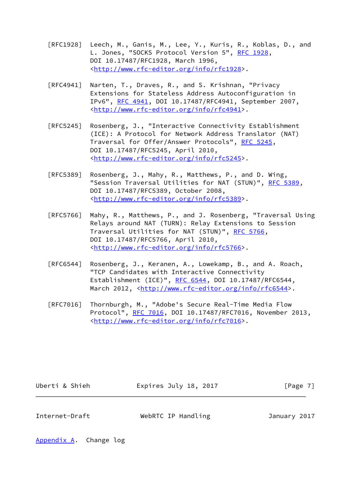- [RFC1928] Leech, M., Ganis, M., Lee, Y., Kuris, R., Koblas, D., and L. Jones, "SOCKS Protocol Version 5", [RFC 1928](https://datatracker.ietf.org/doc/pdf/rfc1928), DOI 10.17487/RFC1928, March 1996, <<http://www.rfc-editor.org/info/rfc1928>>.
- [RFC4941] Narten, T., Draves, R., and S. Krishnan, "Privacy Extensions for Stateless Address Autoconfiguration in IPv6", [RFC 4941](https://datatracker.ietf.org/doc/pdf/rfc4941), DOI 10.17487/RFC4941, September 2007, <<http://www.rfc-editor.org/info/rfc4941>>.
- [RFC5245] Rosenberg, J., "Interactive Connectivity Establishment (ICE): A Protocol for Network Address Translator (NAT) Traversal for Offer/Answer Protocols", [RFC 5245](https://datatracker.ietf.org/doc/pdf/rfc5245), DOI 10.17487/RFC5245, April 2010, <<http://www.rfc-editor.org/info/rfc5245>>.
- [RFC5389] Rosenberg, J., Mahy, R., Matthews, P., and D. Wing, "Session Traversal Utilities for NAT (STUN)", [RFC 5389](https://datatracker.ietf.org/doc/pdf/rfc5389), DOI 10.17487/RFC5389, October 2008, <<http://www.rfc-editor.org/info/rfc5389>>.
- [RFC5766] Mahy, R., Matthews, P., and J. Rosenberg, "Traversal Using Relays around NAT (TURN): Relay Extensions to Session Traversal Utilities for NAT (STUN)", [RFC 5766](https://datatracker.ietf.org/doc/pdf/rfc5766), DOI 10.17487/RFC5766, April 2010, <<http://www.rfc-editor.org/info/rfc5766>>.
- [RFC6544] Rosenberg, J., Keranen, A., Lowekamp, B., and A. Roach, "TCP Candidates with Interactive Connectivity Establishment (ICE)", [RFC 6544](https://datatracker.ietf.org/doc/pdf/rfc6544), DOI 10.17487/RFC6544, March 2012, [<http://www.rfc-editor.org/info/rfc6544](http://www.rfc-editor.org/info/rfc6544)>.
- [RFC7016] Thornburgh, M., "Adobe's Secure Real-Time Media Flow Protocol", [RFC 7016](https://datatracker.ietf.org/doc/pdf/rfc7016), DOI 10.17487/RFC7016, November 2013, <<http://www.rfc-editor.org/info/rfc7016>>.

Uberti & Shieh **Expires July 18, 2017** [Page 7]

<span id="page-7-1"></span>Internet-Draft WebRTC IP Handling January 2017

<span id="page-7-0"></span>[Appendix A.](#page-7-0) Change log